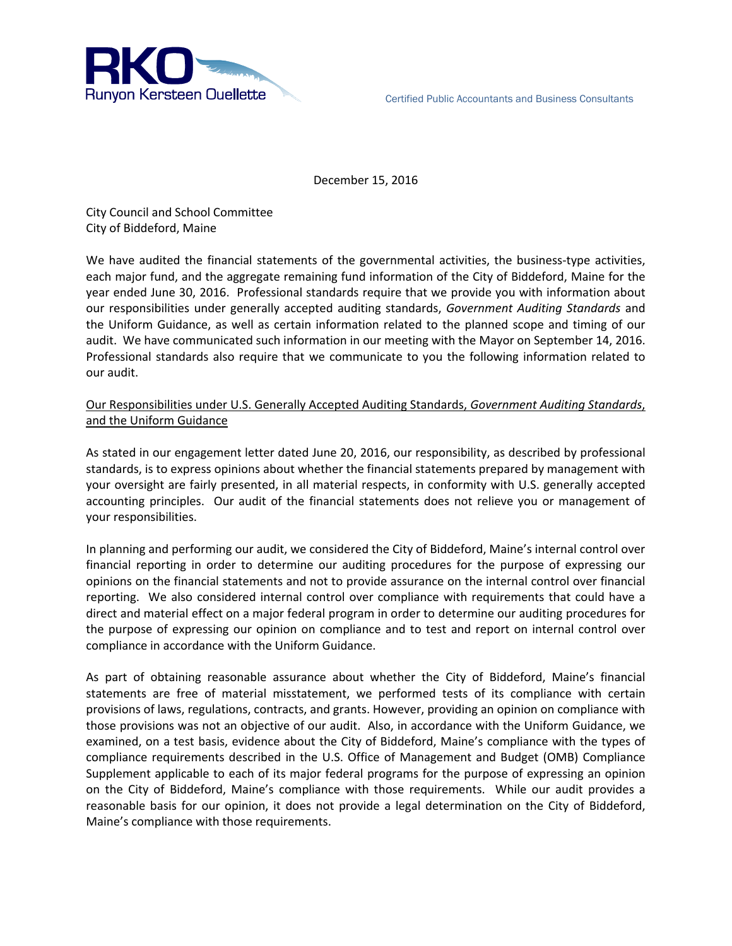

December 15, 2016

City Council and School Committee City of Biddeford, Maine

We have audited the financial statements of the governmental activities, the business-type activities, each major fund, and the aggregate remaining fund information of the City of Biddeford, Maine for the year ended June 30, 2016. Professional standards require that we provide you with information about our responsibilities under generally accepted auditing standards, *Government Auditing Standards* and the Uniform Guidance, as well as certain information related to the planned scope and timing of our audit. We have communicated such information in our meeting with the Mayor on September 14, 2016. Professional standards also require that we communicate to you the following information related to our audit.

## Our Responsibilities under U.S. Generally Accepted Auditing Standards, *Government Auditing Standards*, and the Uniform Guidance

As stated in our engagement letter dated June 20, 2016, our responsibility, as described by professional standards, is to express opinions about whether the financial statements prepared by management with your oversight are fairly presented, in all material respects, in conformity with U.S. generally accepted accounting principles. Our audit of the financial statements does not relieve you or management of your responsibilities.

In planning and performing our audit, we considered the City of Biddeford, Maine's internal control over financial reporting in order to determine our auditing procedures for the purpose of expressing our opinions on the financial statements and not to provide assurance on the internal control over financial reporting. We also considered internal control over compliance with requirements that could have a direct and material effect on a major federal program in order to determine our auditing procedures for the purpose of expressing our opinion on compliance and to test and report on internal control over compliance in accordance with the Uniform Guidance.

As part of obtaining reasonable assurance about whether the City of Biddeford, Maine's financial statements are free of material misstatement, we performed tests of its compliance with certain provisions of laws, regulations, contracts, and grants. However, providing an opinion on compliance with those provisions was not an objective of our audit. Also, in accordance with the Uniform Guidance, we examined, on a test basis, evidence about the City of Biddeford, Maine's compliance with the types of compliance requirements described in the U.S. Office of Management and Budget (OMB) Compliance Supplement applicable to each of its major federal programs for the purpose of expressing an opinion on the City of Biddeford, Maine's compliance with those requirements. While our audit provides a reasonable basis for our opinion, it does not provide a legal determination on the City of Biddeford, Maine's compliance with those requirements.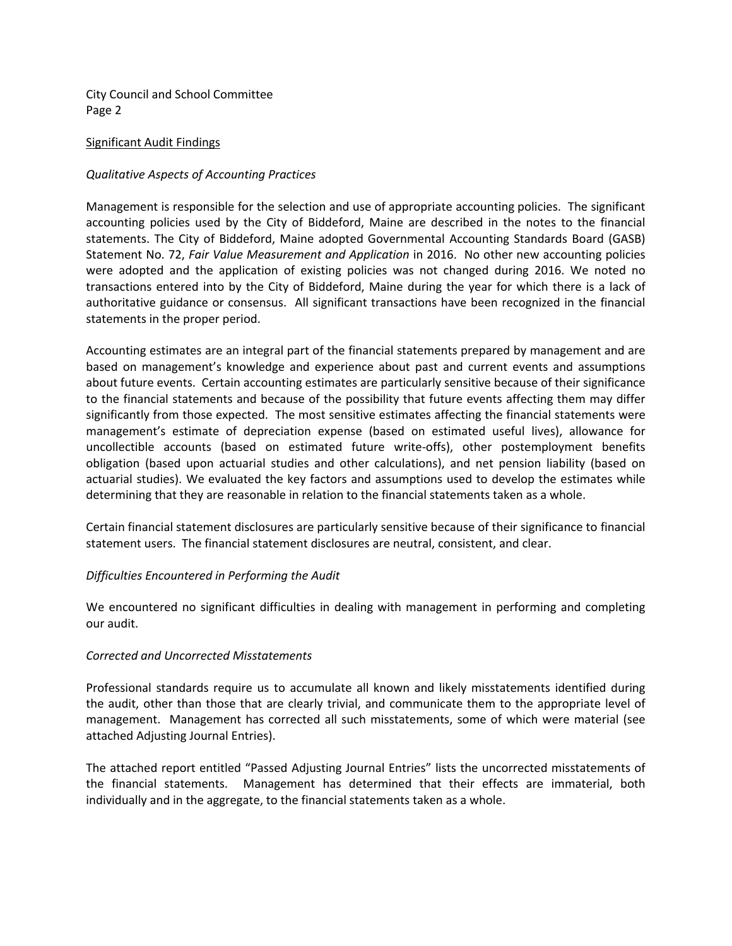City Council and School Committee Page 2

#### Significant Audit Findings

#### *Qualitative Aspects of Accounting Practices*

Management is responsible for the selection and use of appropriate accounting policies. The significant accounting policies used by the City of Biddeford, Maine are described in the notes to the financial statements. The City of Biddeford, Maine adopted Governmental Accounting Standards Board (GASB) Statement No. 72, *Fair Value Measurement and Application* in 2016. No other new accounting policies were adopted and the application of existing policies was not changed during 2016. We noted no transactions entered into by the City of Biddeford, Maine during the year for which there is a lack of authoritative guidance or consensus. All significant transactions have been recognized in the financial statements in the proper period.

Accounting estimates are an integral part of the financial statements prepared by management and are based on management's knowledge and experience about past and current events and assumptions about future events. Certain accounting estimates are particularly sensitive because of their significance to the financial statements and because of the possibility that future events affecting them may differ significantly from those expected. The most sensitive estimates affecting the financial statements were management's estimate of depreciation expense (based on estimated useful lives), allowance for uncollectible accounts (based on estimated future write-offs), other postemployment benefits obligation (based upon actuarial studies and other calculations), and net pension liability (based on actuarial studies). We evaluated the key factors and assumptions used to develop the estimates while determining that they are reasonable in relation to the financial statements taken as a whole.

Certain financial statement disclosures are particularly sensitive because of their significance to financial statement users. The financial statement disclosures are neutral, consistent, and clear.

### *Difficulties Encountered in Performing the Audit*

We encountered no significant difficulties in dealing with management in performing and completing our audit.

#### *Corrected and Uncorrected Misstatements*

Professional standards require us to accumulate all known and likely misstatements identified during the audit, other than those that are clearly trivial, and communicate them to the appropriate level of management. Management has corrected all such misstatements, some of which were material (see attached Adjusting Journal Entries).

The attached report entitled "Passed Adjusting Journal Entries" lists the uncorrected misstatements of the financial statements. Management has determined that their effects are immaterial, both individually and in the aggregate, to the financial statements taken as a whole.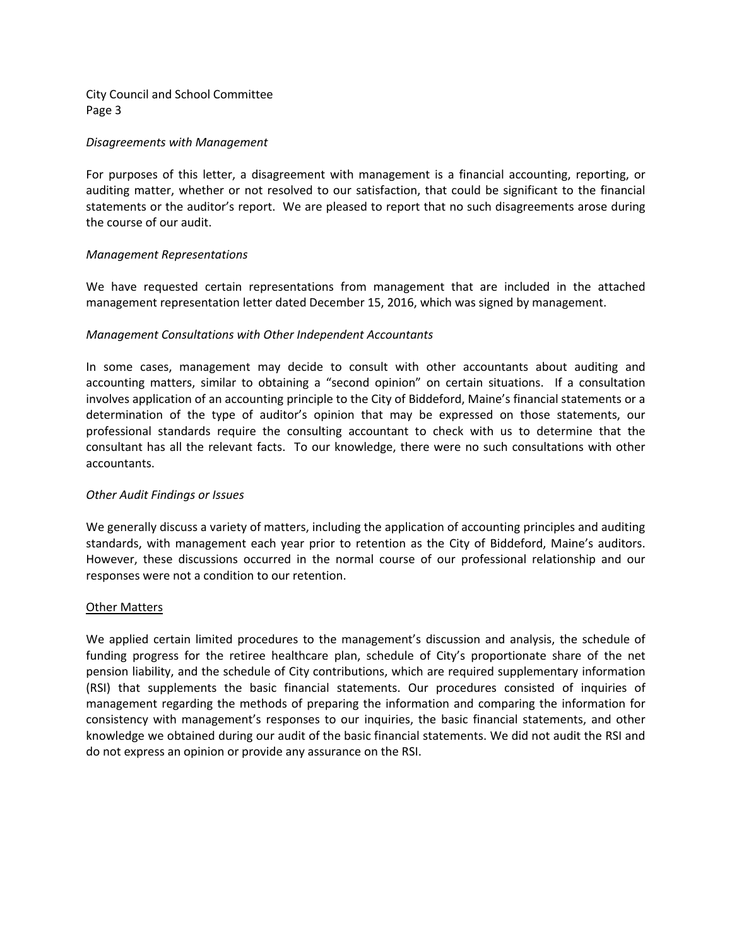City Council and School Committee Page 3

#### *Disagreements with Management*

For purposes of this letter, a disagreement with management is a financial accounting, reporting, or auditing matter, whether or not resolved to our satisfaction, that could be significant to the financial statements or the auditor's report. We are pleased to report that no such disagreements arose during the course of our audit.

### *Management Representations*

We have requested certain representations from management that are included in the attached management representation letter dated December 15, 2016, which was signed by management.

### *Management Consultations with Other Independent Accountants*

In some cases, management may decide to consult with other accountants about auditing and accounting matters, similar to obtaining a "second opinion" on certain situations. If a consultation involves application of an accounting principle to the City of Biddeford, Maine's financial statements or a determination of the type of auditor's opinion that may be expressed on those statements, our professional standards require the consulting accountant to check with us to determine that the consultant has all the relevant facts. To our knowledge, there were no such consultations with other accountants.

### *Other Audit Findings or Issues*

We generally discuss a variety of matters, including the application of accounting principles and auditing standards, with management each year prior to retention as the City of Biddeford, Maine's auditors. However, these discussions occurred in the normal course of our professional relationship and our responses were not a condition to our retention.

#### Other Matters

We applied certain limited procedures to the management's discussion and analysis, the schedule of funding progress for the retiree healthcare plan, schedule of City's proportionate share of the net pension liability, and the schedule of City contributions, which are required supplementary information (RSI) that supplements the basic financial statements. Our procedures consisted of inquiries of management regarding the methods of preparing the information and comparing the information for consistency with management's responses to our inquiries, the basic financial statements, and other knowledge we obtained during our audit of the basic financial statements. We did not audit the RSI and do not express an opinion or provide any assurance on the RSI.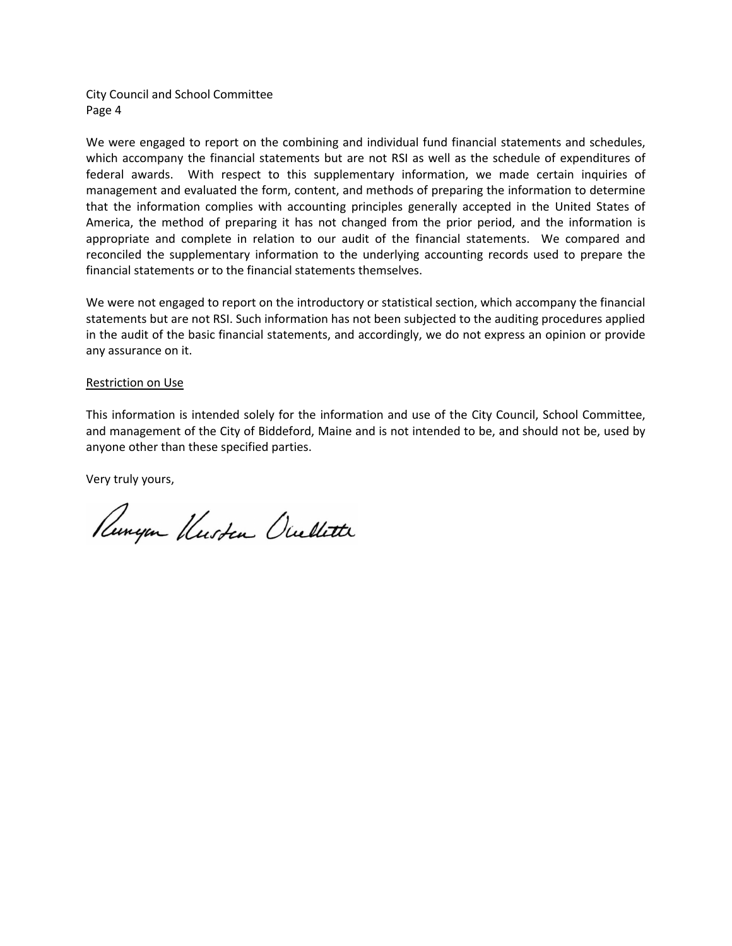City Council and School Committee Page 4

We were engaged to report on the combining and individual fund financial statements and schedules, which accompany the financial statements but are not RSI as well as the schedule of expenditures of federal awards. With respect to this supplementary information, we made certain inquiries of management and evaluated the form, content, and methods of preparing the information to determine that the information complies with accounting principles generally accepted in the United States of America, the method of preparing it has not changed from the prior period, and the information is appropriate and complete in relation to our audit of the financial statements. We compared and reconciled the supplementary information to the underlying accounting records used to prepare the financial statements or to the financial statements themselves.

We were not engaged to report on the introductory or statistical section, which accompany the financial statements but are not RSI. Such information has not been subjected to the auditing procedures applied in the audit of the basic financial statements, and accordingly, we do not express an opinion or provide any assurance on it.

#### Restriction on Use

This information is intended solely for the information and use of the City Council, School Committee, and management of the City of Biddeford, Maine and is not intended to be, and should not be, used by anyone other than these specified parties.

Very truly yours,

Runyon Kusten Ocullette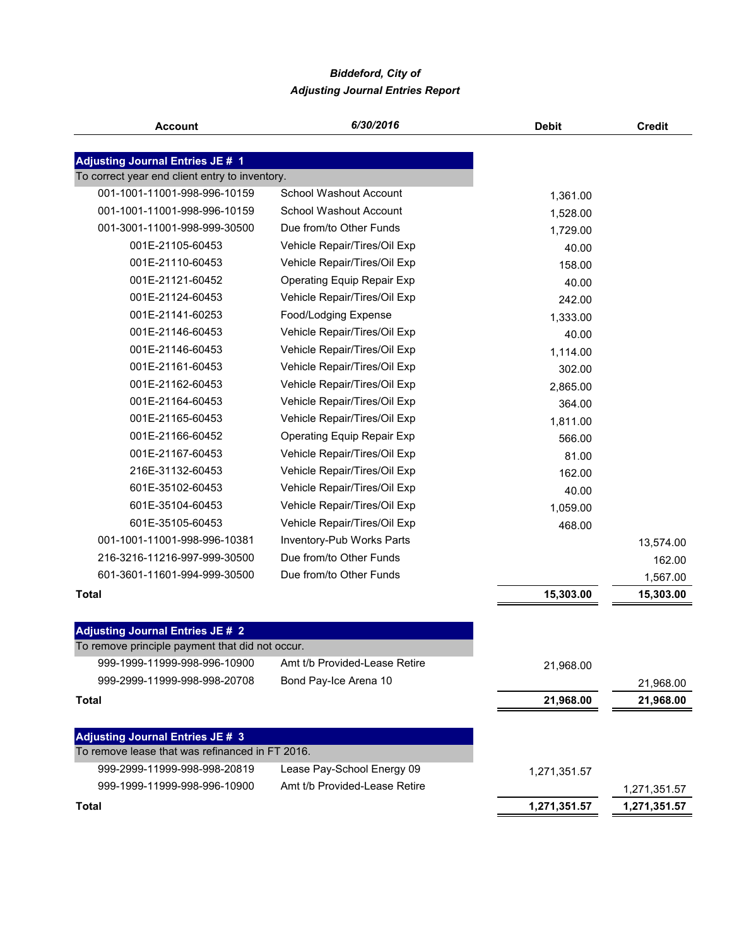# *Biddeford, City of Adjusting Journal Entries Report*

| <b>Account</b>                                  | 6/30/2016                         | <b>Debit</b> | <b>Credit</b> |
|-------------------------------------------------|-----------------------------------|--------------|---------------|
|                                                 |                                   |              |               |
| <b>Adjusting Journal Entries JE # 1</b>         |                                   |              |               |
| To correct year end client entry to inventory.  |                                   |              |               |
| 001-1001-11001-998-996-10159                    | School Washout Account            | 1,361.00     |               |
| 001-1001-11001-998-996-10159                    | <b>School Washout Account</b>     | 1,528.00     |               |
| 001-3001-11001-998-999-30500                    | Due from/to Other Funds           | 1,729.00     |               |
| 001E-21105-60453                                | Vehicle Repair/Tires/Oil Exp      | 40.00        |               |
| 001E-21110-60453                                | Vehicle Repair/Tires/Oil Exp      | 158.00       |               |
| 001E-21121-60452                                | <b>Operating Equip Repair Exp</b> | 40.00        |               |
| 001E-21124-60453                                | Vehicle Repair/Tires/Oil Exp      | 242.00       |               |
| 001E-21141-60253                                | Food/Lodging Expense              | 1,333.00     |               |
| 001E-21146-60453                                | Vehicle Repair/Tires/Oil Exp      | 40.00        |               |
| 001E-21146-60453                                | Vehicle Repair/Tires/Oil Exp      | 1,114.00     |               |
| 001E-21161-60453                                | Vehicle Repair/Tires/Oil Exp      | 302.00       |               |
| 001E-21162-60453                                | Vehicle Repair/Tires/Oil Exp      | 2,865.00     |               |
| 001E-21164-60453                                | Vehicle Repair/Tires/Oil Exp      | 364.00       |               |
| 001E-21165-60453                                | Vehicle Repair/Tires/Oil Exp      | 1,811.00     |               |
| 001E-21166-60452                                | <b>Operating Equip Repair Exp</b> | 566.00       |               |
| 001E-21167-60453                                | Vehicle Repair/Tires/Oil Exp      | 81.00        |               |
| 216E-31132-60453                                | Vehicle Repair/Tires/Oil Exp      | 162.00       |               |
| 601E-35102-60453                                | Vehicle Repair/Tires/Oil Exp      | 40.00        |               |
| 601E-35104-60453                                | Vehicle Repair/Tires/Oil Exp      | 1,059.00     |               |
| 601E-35105-60453                                | Vehicle Repair/Tires/Oil Exp      | 468.00       |               |
| 001-1001-11001-998-996-10381                    | Inventory-Pub Works Parts         |              | 13,574.00     |
| 216-3216-11216-997-999-30500                    | Due from/to Other Funds           |              | 162.00        |
| 601-3601-11601-994-999-30500                    | Due from/to Other Funds           |              | 1,567.00      |
| <b>Total</b>                                    |                                   | 15,303.00    | 15,303.00     |
|                                                 |                                   |              |               |
| <b>Adjusting Journal Entries JE # 2</b>         |                                   |              |               |
| To remove principle payment that did not occur. |                                   |              |               |
| 999-1999-11999-998-996-10900                    | Amt t/b Provided-Lease Retire     | 21,968.00    |               |
| 999-2999-11999-998-998-20708                    | Bond Pay-Ice Arena 10             |              | 21,968.00     |
| <b>Total</b>                                    |                                   | 21,968.00    | 21,968.00     |
|                                                 |                                   |              |               |
| <b>Adjusting Journal Entries JE # 3</b>         |                                   |              |               |
| To remove lease that was refinanced in FT 2016. |                                   |              |               |
| 999-2999-11999-998-998-20819                    | Lease Pay-School Energy 09        | 1,271,351.57 |               |
| 999-1999-11999-998-996-10900                    | Amt t/b Provided-Lease Retire     |              | 1,271,351.57  |
| <b>Total</b>                                    |                                   | 1,271,351.57 | 1,271,351.57  |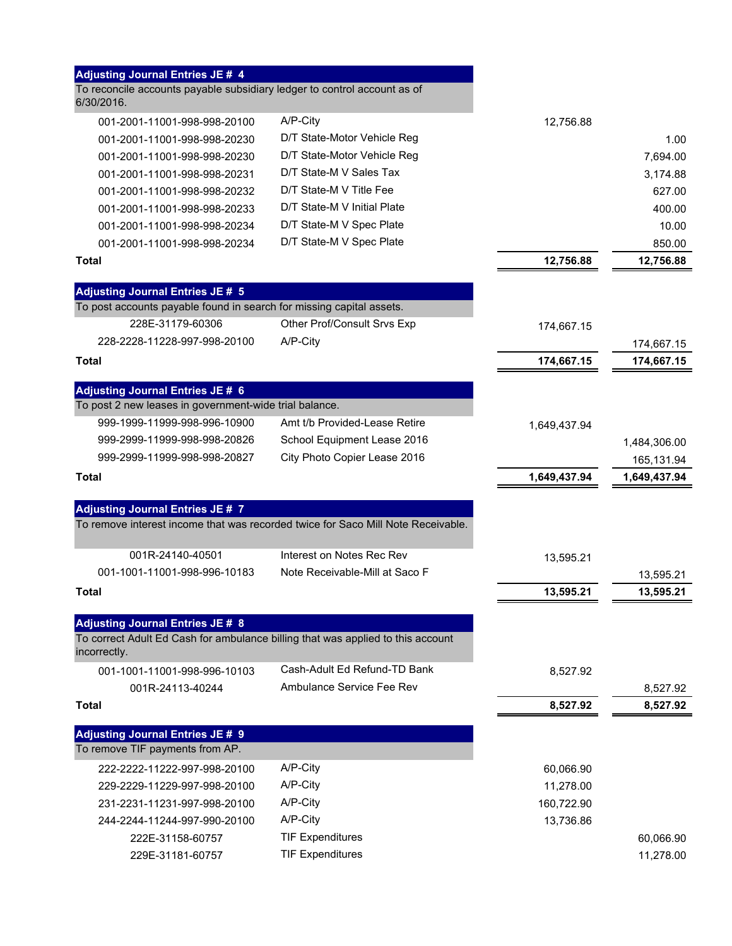| <b>Adjusting Journal Entries JE # 4</b>                                                                                                    |                                                                                  |              |                            |
|--------------------------------------------------------------------------------------------------------------------------------------------|----------------------------------------------------------------------------------|--------------|----------------------------|
| To reconcile accounts payable subsidiary ledger to control account as of<br>6/30/2016.                                                     |                                                                                  |              |                            |
| 001-2001-11001-998-998-20100                                                                                                               | A/P-City                                                                         | 12,756.88    |                            |
| 001-2001-11001-998-998-20230                                                                                                               | D/T State-Motor Vehicle Reg                                                      |              | 1.00                       |
| 001-2001-11001-998-998-20230                                                                                                               | D/T State-Motor Vehicle Reg                                                      |              | 7,694.00                   |
| 001-2001-11001-998-998-20231                                                                                                               | D/T State-M V Sales Tax                                                          |              | 3,174.88                   |
| 001-2001-11001-998-998-20232                                                                                                               | D/T State-M V Title Fee                                                          |              | 627.00                     |
| 001-2001-11001-998-998-20233                                                                                                               | D/T State-M V Initial Plate                                                      |              | 400.00                     |
| 001-2001-11001-998-998-20234                                                                                                               | D/T State-M V Spec Plate                                                         |              | 10.00                      |
| 001-2001-11001-998-998-20234                                                                                                               | D/T State-M V Spec Plate                                                         |              | 850.00                     |
| Total                                                                                                                                      |                                                                                  | 12,756.88    | 12,756.88                  |
| <b>Adjusting Journal Entries JE # 5</b>                                                                                                    |                                                                                  |              |                            |
| To post accounts payable found in search for missing capital assets.                                                                       |                                                                                  |              |                            |
| 228E-31179-60306                                                                                                                           | Other Prof/Consult Srvs Exp                                                      | 174,667.15   |                            |
| 228-2228-11228-997-998-20100                                                                                                               | A/P-City                                                                         |              | 174,667.15                 |
| Total                                                                                                                                      |                                                                                  | 174,667.15   | 174,667.15                 |
|                                                                                                                                            |                                                                                  |              |                            |
| <b>Adjusting Journal Entries JE # 6</b><br>To post 2 new leases in government-wide trial balance.                                          |                                                                                  |              |                            |
| 999-1999-11999-998-996-10900                                                                                                               | Amt t/b Provided-Lease Retire                                                    |              |                            |
| 999-2999-11999-998-998-20826                                                                                                               | School Equipment Lease 2016                                                      | 1,649,437.94 |                            |
| 999-2999-11999-998-998-20827                                                                                                               | City Photo Copier Lease 2016                                                     |              | 1,484,306.00               |
| Total                                                                                                                                      |                                                                                  | 1,649,437.94 | 165,131.94<br>1,649,437.94 |
|                                                                                                                                            |                                                                                  |              |                            |
| <b>Adjusting Journal Entries JE # 7</b>                                                                                                    |                                                                                  |              |                            |
|                                                                                                                                            |                                                                                  |              |                            |
|                                                                                                                                            | To remove interest income that was recorded twice for Saco Mill Note Receivable. |              |                            |
| 001R-24140-40501                                                                                                                           | Interest on Notes Rec Rev                                                        |              |                            |
| 001-1001-11001-998-996-10183                                                                                                               | Note Receivable-Mill at Saco F                                                   | 13,595.21    |                            |
| Total                                                                                                                                      |                                                                                  | 13,595.21    | 13,595.21<br>13,595.21     |
|                                                                                                                                            |                                                                                  |              |                            |
| <b>Adjusting Journal Entries JE # 8</b><br>To correct Adult Ed Cash for ambulance billing that was applied to this account<br>incorrectly. |                                                                                  |              |                            |
| 001-1001-11001-998-996-10103                                                                                                               | Cash-Adult Ed Refund-TD Bank                                                     | 8,527.92     |                            |
| 001R-24113-40244                                                                                                                           | Ambulance Service Fee Rev                                                        |              |                            |
| Total                                                                                                                                      |                                                                                  | 8,527.92     | 8,527.92<br>8,527.92       |
|                                                                                                                                            |                                                                                  |              |                            |
| <b>Adjusting Journal Entries JE # 9</b>                                                                                                    |                                                                                  |              |                            |
| To remove TIF payments from AP.                                                                                                            | A/P-City                                                                         |              |                            |
| 222-2222-11222-997-998-20100                                                                                                               | A/P-City                                                                         | 60,066.90    |                            |
| 229-2229-11229-997-998-20100                                                                                                               |                                                                                  | 11,278.00    |                            |
| 231-2231-11231-997-998-20100                                                                                                               | A/P-City<br>A/P-City                                                             | 160,722.90   |                            |
| 244-2244-11244-997-990-20100<br>222E-31158-60757                                                                                           | <b>TIF Expenditures</b>                                                          | 13,736.86    |                            |
| 229E-31181-60757                                                                                                                           | <b>TIF Expenditures</b>                                                          |              | 60,066.90<br>11,278.00     |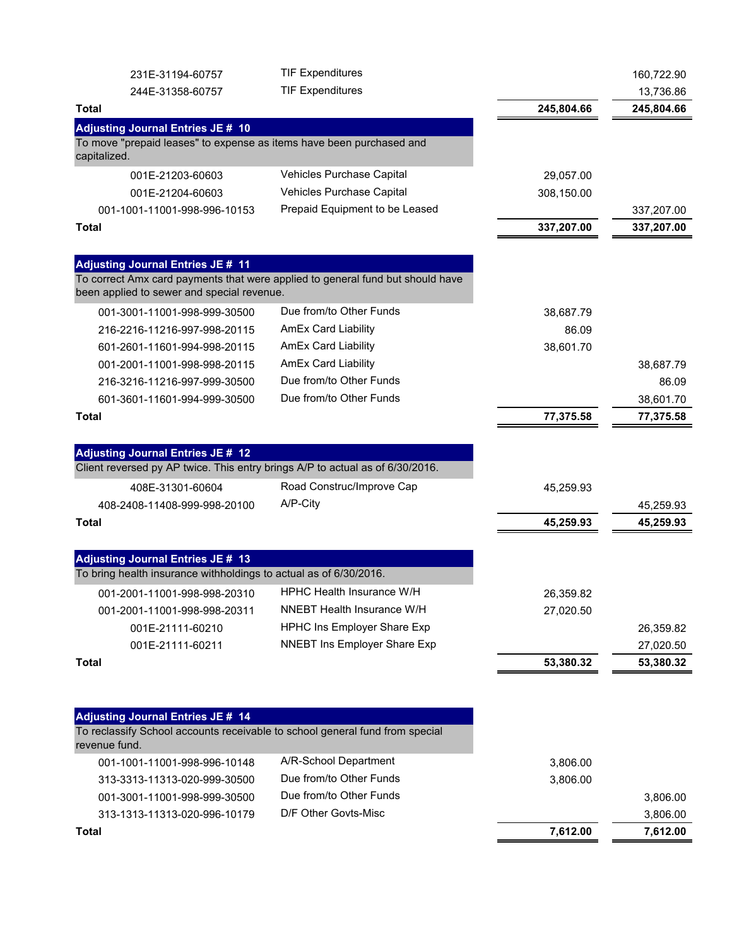| 231E-31194-60757                                                                              | <b>TIF Expenditures</b>                                                        |            | 160,722.90 |
|-----------------------------------------------------------------------------------------------|--------------------------------------------------------------------------------|------------|------------|
| 244E-31358-60757                                                                              | <b>TIF Expenditures</b>                                                        |            | 13,736.86  |
| <b>Total</b>                                                                                  |                                                                                | 245,804.66 | 245,804.66 |
| <b>Adjusting Journal Entries JE # 10</b>                                                      |                                                                                |            |            |
| To move "prepaid leases" to expense as items have been purchased and<br>capitalized.          |                                                                                |            |            |
| 001E-21203-60603                                                                              | Vehicles Purchase Capital                                                      | 29,057.00  |            |
| 001E-21204-60603                                                                              | Vehicles Purchase Capital                                                      | 308,150.00 |            |
| 001-1001-11001-998-996-10153                                                                  | Prepaid Equipment to be Leased                                                 |            | 337,207.00 |
| <b>Total</b>                                                                                  |                                                                                | 337,207.00 | 337,207.00 |
|                                                                                               |                                                                                |            |            |
| <b>Adjusting Journal Entries JE # 11</b>                                                      |                                                                                |            |            |
| been applied to sewer and special revenue.                                                    | To correct Amx card payments that were applied to general fund but should have |            |            |
| 001-3001-11001-998-999-30500                                                                  | Due from/to Other Funds                                                        | 38,687.79  |            |
| 216-2216-11216-997-998-20115                                                                  | <b>AmEx Card Liability</b>                                                     | 86.09      |            |
| 601-2601-11601-994-998-20115                                                                  | <b>AmEx Card Liability</b>                                                     | 38,601.70  |            |
| 001-2001-11001-998-998-20115                                                                  | <b>AmEx Card Liability</b>                                                     |            | 38,687.79  |
| 216-3216-11216-997-999-30500                                                                  | Due from/to Other Funds                                                        |            | 86.09      |
| 601-3601-11601-994-999-30500                                                                  | Due from/to Other Funds                                                        |            | 38,601.70  |
| <b>Total</b>                                                                                  |                                                                                | 77,375.58  | 77,375.58  |
|                                                                                               |                                                                                |            |            |
| <b>Adjusting Journal Entries JE # 12</b>                                                      |                                                                                |            |            |
| Client reversed py AP twice. This entry brings A/P to actual as of 6/30/2016.                 |                                                                                |            |            |
| 408E-31301-60604                                                                              | Road Construc/Improve Cap                                                      | 45,259.93  |            |
| 408-2408-11408-999-998-20100                                                                  | A/P-City                                                                       |            | 45,259.93  |
| <b>Total</b>                                                                                  |                                                                                | 45,259.93  | 45,259.93  |
| <b>Adjusting Journal Entries JE # 13</b>                                                      |                                                                                |            |            |
| To bring health insurance withholdings to actual as of 6/30/2016.                             |                                                                                |            |            |
| 001-2001-11001-998-998-20310                                                                  | <b>HPHC Health Insurance W/H</b>                                               | 26,359.82  |            |
| 001-2001-11001-998-998-20311                                                                  | NNEBT Health Insurance W/H                                                     | 27,020.50  |            |
| 001E-21111-60210                                                                              | HPHC Ins Employer Share Exp                                                    |            | 26,359.82  |
| 001E-21111-60211                                                                              | <b>NNEBT Ins Employer Share Exp</b>                                            |            | 27,020.50  |
| <b>Total</b>                                                                                  |                                                                                | 53,380.32  | 53,380.32  |
|                                                                                               |                                                                                |            |            |
| <b>Adjusting Journal Entries JE # 14</b>                                                      |                                                                                |            |            |
| To reclassify School accounts receivable to school general fund from special<br>revenue fund. |                                                                                |            |            |
| 001-1001-11001-998-996-10148                                                                  | A/R-School Department                                                          | 3,806.00   |            |
| 313-3313-11313-020-999-30500                                                                  | Due from/to Other Funds                                                        | 3,806.00   |            |
| 001-3001-11001-998-999-30500                                                                  | Due from/to Other Funds                                                        |            | 3,806.00   |
| 313-1313-11313-020-996-10179                                                                  | D/F Other Govts-Misc                                                           |            | 3,806.00   |
| <b>Total</b>                                                                                  |                                                                                | 7,612.00   | 7,612.00   |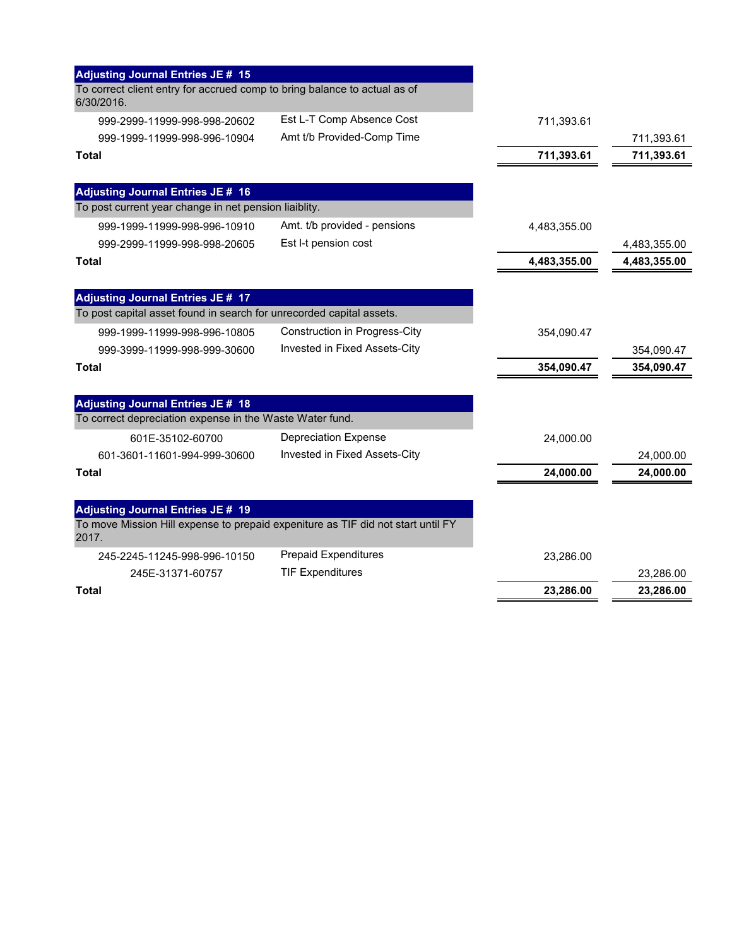| <b>Adjusting Journal Entries JE # 15</b>                                                                         |                                      |              |              |
|------------------------------------------------------------------------------------------------------------------|--------------------------------------|--------------|--------------|
| To correct client entry for accrued comp to bring balance to actual as of<br>6/30/2016.                          |                                      |              |              |
| 999-2999-11999-998-998-20602                                                                                     | Est L-T Comp Absence Cost            | 711,393.61   |              |
| 999-1999-11999-998-996-10904                                                                                     | Amt t/b Provided-Comp Time           |              | 711,393.61   |
| <b>Total</b>                                                                                                     |                                      | 711,393.61   | 711,393.61   |
| <b>Adjusting Journal Entries JE # 16</b>                                                                         |                                      |              |              |
| To post current year change in net pension liaiblity.                                                            |                                      |              |              |
| 999-1999-11999-998-996-10910                                                                                     | Amt. t/b provided - pensions         | 4,483,355.00 |              |
| 999-2999-11999-998-998-20605                                                                                     | Est I-t pension cost                 |              | 4,483,355.00 |
| Total                                                                                                            |                                      | 4,483,355.00 | 4,483,355.00 |
|                                                                                                                  |                                      |              |              |
| <b>Adjusting Journal Entries JE # 17</b><br>To post capital asset found in search for unrecorded capital assets. |                                      |              |              |
| 999-1999-11999-998-996-10805                                                                                     | <b>Construction in Progress-City</b> | 354,090.47   |              |
| 999-3999-11999-998-999-30600                                                                                     | Invested in Fixed Assets-City        |              | 354,090.47   |
| Total                                                                                                            |                                      | 354,090.47   | 354,090.47   |
| <b>Adjusting Journal Entries JE # 18</b>                                                                         |                                      |              |              |
| To correct depreciation expense in the Waste Water fund.                                                         |                                      |              |              |
| 601E-35102-60700                                                                                                 | <b>Depreciation Expense</b>          | 24,000.00    |              |
| 601-3601-11601-994-999-30600                                                                                     | Invested in Fixed Assets-City        |              | 24,000.00    |
| Total                                                                                                            |                                      | 24,000.00    | 24,000.00    |
| <b>Adjusting Journal Entries JE # 19</b>                                                                         |                                      |              |              |
| To move Mission Hill expense to prepaid expeniture as TIF did not start until FY<br>2017.                        |                                      |              |              |
| 245-2245-11245-998-996-10150                                                                                     | <b>Prepaid Expenditures</b>          | 23,286.00    |              |
| 245E-31371-60757                                                                                                 | <b>TIF Expenditures</b>              |              | 23,286.00    |
| Total                                                                                                            |                                      | 23,286.00    | 23,286.00    |
|                                                                                                                  |                                      |              |              |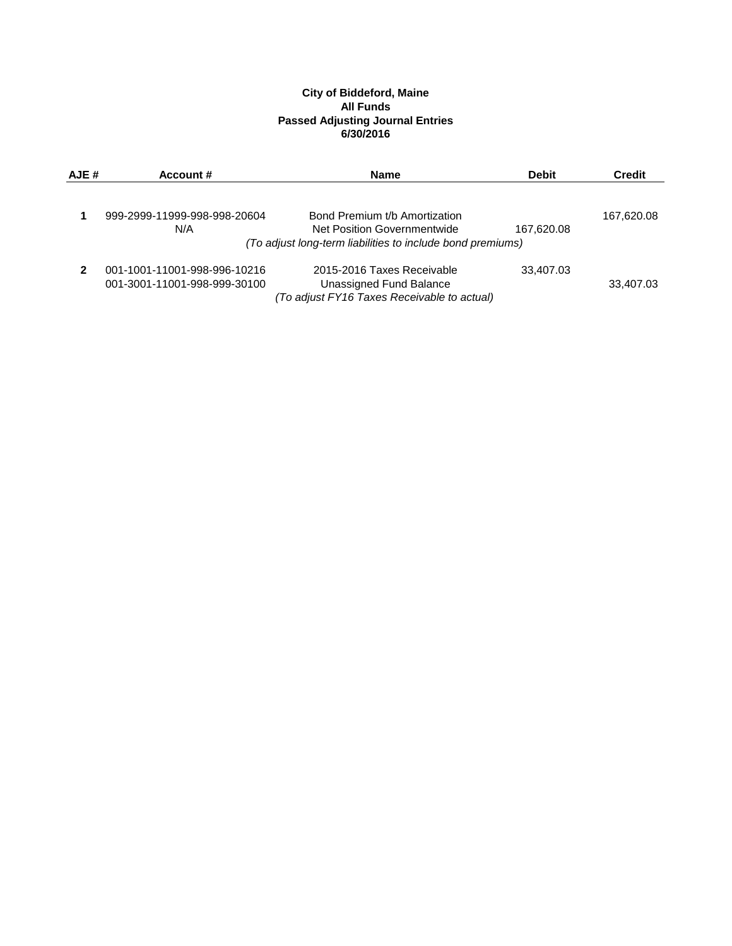#### **City of Biddeford, Maine All Funds Passed Adjusting Journal Entries 6/30/2016**

| AJE # | Account #                    | <b>Name</b>                                                | <b>Debit</b> | <b>Credit</b> |
|-------|------------------------------|------------------------------------------------------------|--------------|---------------|
|       |                              |                                                            |              |               |
|       | 999-2999-11999-998-998-20604 | Bond Premium t/b Amortization                              |              | 167,620.08    |
|       | N/A                          | Net Position Governmentwide                                | 167,620.08   |               |
|       |                              | (To adjust long-term liabilities to include bond premiums) |              |               |
|       | 001-1001-11001-998-996-10216 | 2015-2016 Taxes Receivable                                 | 33,407.03    |               |
|       | 001-3001-11001-998-999-30100 | Unassigned Fund Balance                                    |              | 33,407.03     |
|       |                              | (To adjust FY16 Taxes Receivable to actual)                |              |               |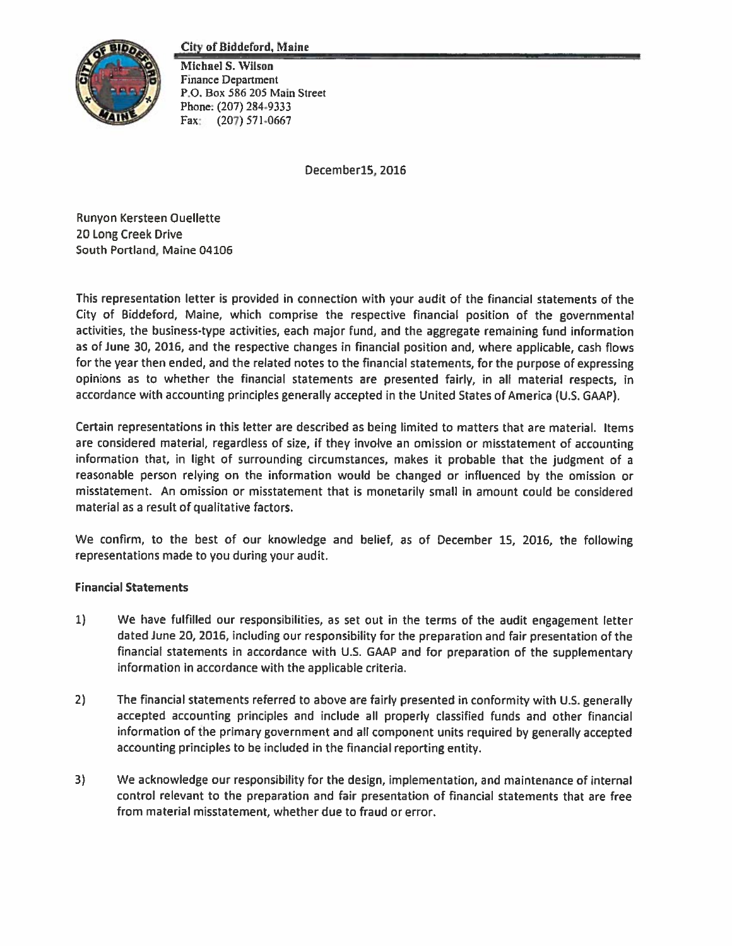#### **City of Biddeford, Maine**



Michael S. Wilson Finance Department P.O. Box 586 205 Main Street Phone: (207) 284-9333 Fax:  $(207) 571 - 0667$ 

December15, 2016

Runyon Kersteen Ouellette 20 Long Creek Drive South Portland, Maine 04106

This representation letter is provided in connection with your audit of the financial statements of the City of Biddeford, Maine, which comprise the respective financial position of the governmental activities, the business-type activities, each major fund, and the aggregate remaining fund information as of June 30, 2016, and the respective changes in financial position and, where applicable, cash flows for the year then ended, and the related notes to the financial statements, for the purpose of expressing opinions as to whether the financial statements are presented fairly, in all material respects, in accordance with accounting principles generally accepted in the United States of America (U.S. GAAP).

Certain representations in this letter are described as being limited to matters that are material. Items are considered material, regardless of size, if they involve an omission or misstatement of accounting information that, in light of surrounding circumstances, makes it probable that the judgment of a reasonable person relying on the information would be changed or influenced by the omission or misstatement. An omission or misstatement that is monetarily small in amount could be considered material as a result of qualitative factors.

We confirm, to the best of our knowledge and belief, as of December 15, 2016, the following representations made to you during your audit.

### **Financial Statements**

- We have fulfilled our responsibilities, as set out in the terms of the audit engagement letter  $1)$ dated June 20, 2016, including our responsibility for the preparation and fair presentation of the financial statements in accordance with U.S. GAAP and for preparation of the supplementary information in accordance with the applicable criteria.
- $2)$ The financial statements referred to above are fairly presented in conformity with U.S. generally accepted accounting principles and include all properly classified funds and other financial information of the primary government and all component units required by generally accepted accounting principles to be included in the financial reporting entity.
- $3)$ We acknowledge our responsibility for the design, implementation, and maintenance of internal control relevant to the preparation and fair presentation of financial statements that are free from material misstatement, whether due to fraud or error.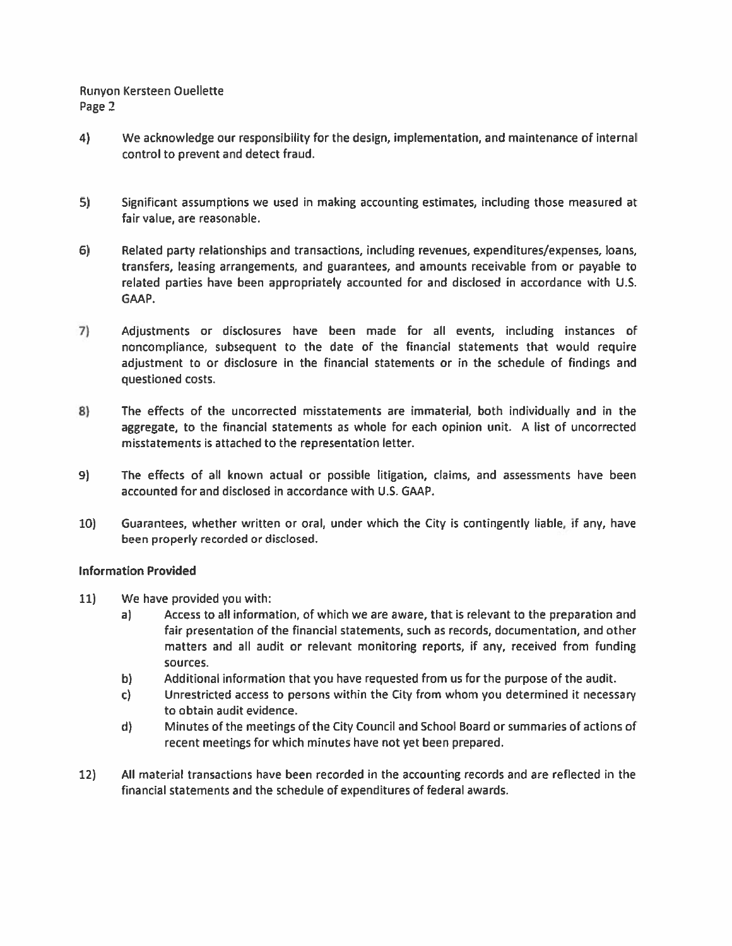- $4)$ We acknowledge our responsibility for the design, implementation, and maintenance of internal control to prevent and detect fraud.
- $5)$ Significant assumptions we used in making accounting estimates, including those measured at fair value, are reasonable.
- Related party relationships and transactions, including revenues, expenditures/expenses, loans,  $6)$ transfers, leasing arrangements, and guarantees, and amounts receivable from or payable to related parties have been appropriately accounted for and disclosed in accordance with U.S. GAAP.
- $7)$ Adjustments or disclosures have been made for all events, including instances of noncompliance, subsequent to the date of the financial statements that would require adjustment to or disclosure in the financial statements or in the schedule of findings and questioned costs.
- The effects of the uncorrected misstatements are immaterial, both individually and in the 8) aggregate, to the financial statements as whole for each opinion unit. A list of uncorrected misstatements is attached to the representation letter.
- 9) The effects of all known actual or possible litigation, claims, and assessments have been accounted for and disclosed in accordance with U.S. GAAP.
- $10)$ Guarantees, whether written or oral, under which the City is contingently liable, if any, have been properly recorded or disclosed.

### **Information Provided**

- $11)$ We have provided you with:
	- a) Access to all information, of which we are aware, that is relevant to the preparation and fair presentation of the financial statements, such as records, documentation, and other matters and all audit or relevant monitoring reports, if any, received from funding sources.
	- b) Additional information that you have requested from us for the purpose of the audit.
	- $\mathsf{c}$ Unrestricted access to persons within the City from whom you determined it necessary to obtain audit evidence.
	- $d$ Minutes of the meetings of the City Council and School Board or summaries of actions of recent meetings for which minutes have not yet been prepared.
- $12)$ All material transactions have been recorded in the accounting records and are reflected in the financial statements and the schedule of expenditures of federal awards.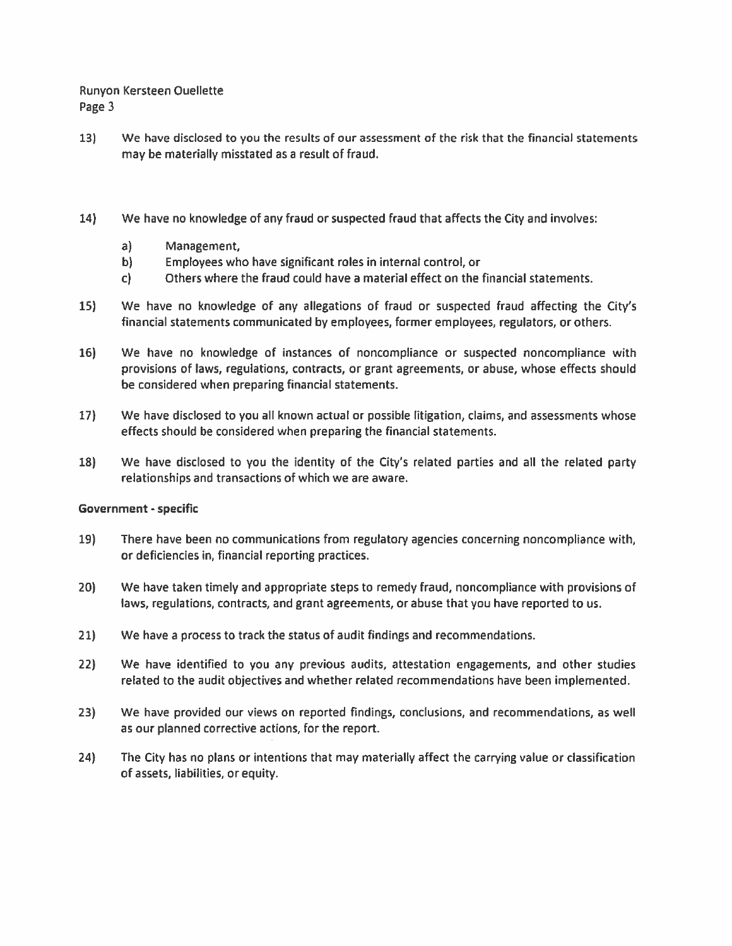- $13)$ We have disclosed to you the results of our assessment of the risk that the financial statements may be materially misstated as a result of fraud.
- $14)$ We have no knowledge of any fraud or suspected fraud that affects the City and involves:
	- $a)$ Management,
	- $\mathbf{b}$ Employees who have significant roles in internal control, or
	- Others where the fraud could have a material effect on the financial statements.  $\mathsf{C}$
- $15)$ We have no knowledge of any allegations of fraud or suspected fraud affecting the City's financial statements communicated by employees, former employees, regulators, or others.
- $16$ We have no knowledge of instances of noncompliance or suspected noncompliance with provisions of laws, regulations, contracts, or grant agreements, or abuse, whose effects should be considered when preparing financial statements.
- $17)$ We have disclosed to you all known actual or possible litigation, claims, and assessments whose effects should be considered when preparing the financial statements.
- 18) We have disclosed to you the identity of the City's related parties and all the related party relationships and transactions of which we are aware.

### **Government - specific**

- 19) There have been no communications from regulatory agencies concerning noncompliance with, or deficiencies in, financial reporting practices.
- $20$ We have taken timely and appropriate steps to remedy fraud, noncompliance with provisions of laws, regulations, contracts, and grant agreements, or abuse that you have reported to us.
- $21$ We have a process to track the status of audit findings and recommendations.
- $22)$ We have identified to you any previous audits, attestation engagements, and other studies related to the audit objectives and whether related recommendations have been implemented.
- $23)$ We have provided our views on reported findings, conclusions, and recommendations, as well as our planned corrective actions, for the report.
- $24)$ The City has no plans or intentions that may materially affect the carrying value or classification of assets, liabilities, or equity.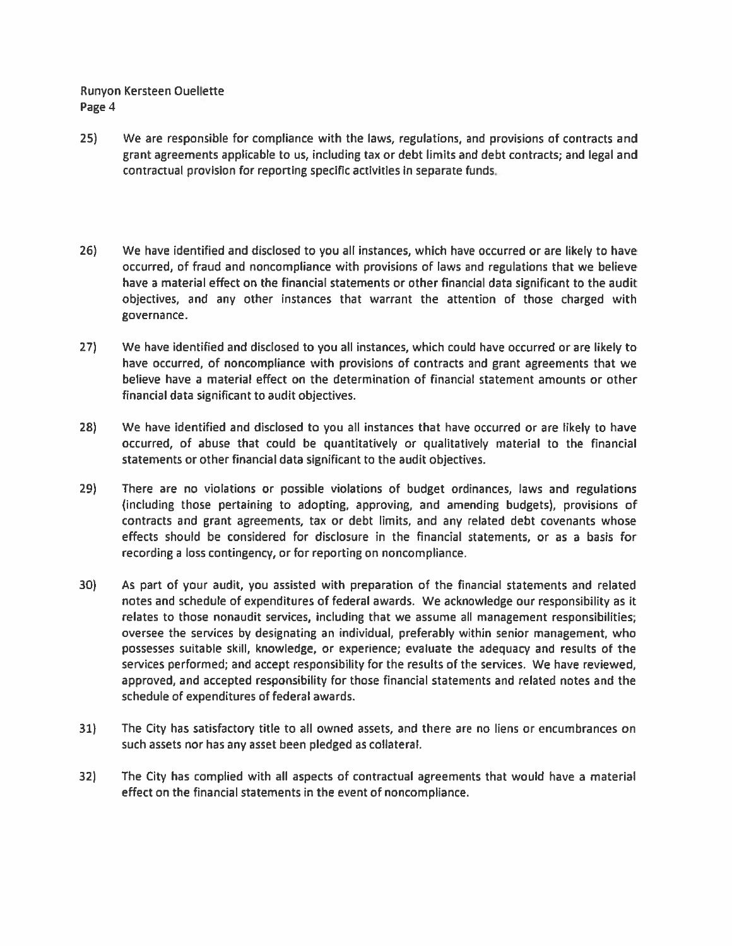- $25)$ We are responsible for compliance with the laws, regulations, and provisions of contracts and grant agreements applicable to us, including tax or debt limits and debt contracts; and legal and contractual provision for reporting specific activities in separate funds.
- $26$ We have identified and disclosed to you all instances, which have occurred or are likely to have occurred, of fraud and noncompliance with provisions of laws and regulations that we believe have a material effect on the financial statements or other financial data significant to the audit objectives, and any other instances that warrant the attention of those charged with governance.
- $27$ We have identified and disclosed to you all instances, which could have occurred or are likely to have occurred, of noncompliance with provisions of contracts and grant agreements that we believe have a material effect on the determination of financial statement amounts or other financial data significant to audit objectives.
- $28)$ We have identified and disclosed to you all instances that have occurred or are likely to have occurred, of abuse that could be quantitatively or qualitatively material to the financial statements or other financial data significant to the audit objectives.
- 29) There are no violations or possible violations of budget ordinances, laws and regulations (including those pertaining to adopting, approving, and amending budgets), provisions of contracts and grant agreements, tax or debt limits, and any related debt covenants whose effects should be considered for disclosure in the financial statements, or as a basis for recording a loss contingency, or for reporting on noncompliance.
- $30)$ As part of your audit, you assisted with preparation of the financial statements and related notes and schedule of expenditures of federal awards. We acknowledge our responsibility as it relates to those nonaudit services, including that we assume all management responsibilities; oversee the services by designating an individual, preferably within senior management, who possesses suitable skill, knowledge, or experience; evaluate the adequacy and results of the services performed; and accept responsibility for the results of the services. We have reviewed, approved, and accepted responsibility for those financial statements and related notes and the schedule of expenditures of federal awards.
- $31$ The City has satisfactory title to all owned assets, and there are no liens or encumbrances on such assets nor has any asset been pledged as collateral.
- $32)$ The City has complied with all aspects of contractual agreements that would have a material effect on the financial statements in the event of noncompliance.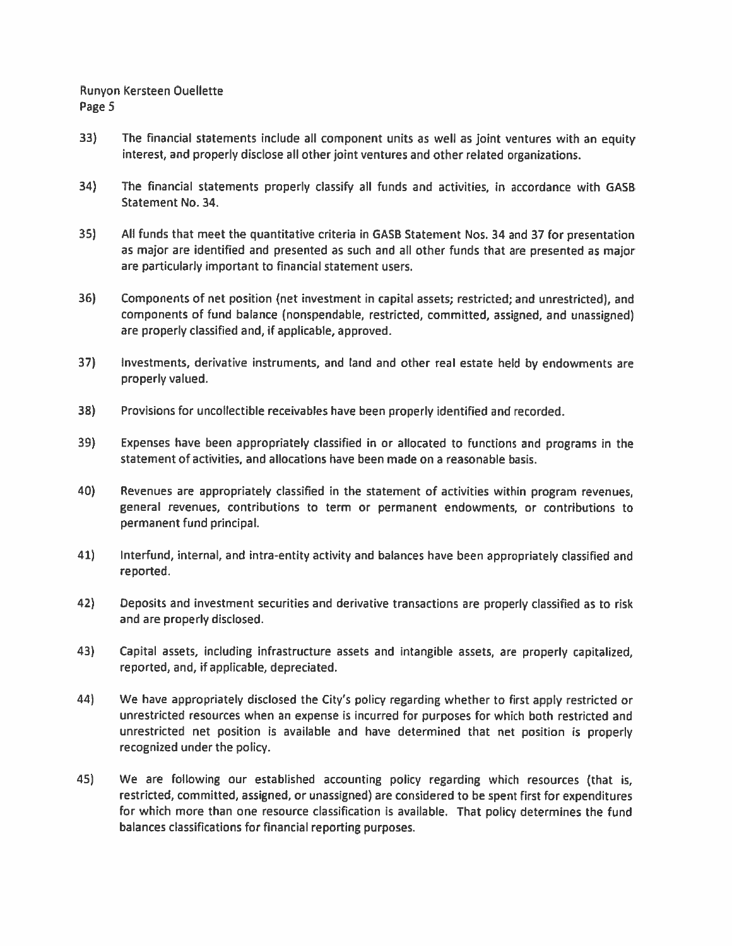- 33) The financial statements include all component units as well as joint ventures with an equity interest, and properly disclose all other joint ventures and other related organizations.
- $34)$ The financial statements properly classify all funds and activities, in accordance with GASB Statement No. 34.
- $35)$ All funds that meet the quantitative criteria in GASB Statement Nos. 34 and 37 for presentation as major are identified and presented as such and all other funds that are presented as major are particularly important to financial statement users.
- 36) Components of net position (net investment in capital assets; restricted; and unrestricted), and components of fund balance (nonspendable, restricted, committed, assigned, and unassigned) are properly classified and, if applicable, approved.
- $37$ Investments, derivative instruments, and land and other real estate held by endowments are properly valued.
- 38) Provisions for uncollectible receivables have been properly identified and recorded.
- 39) Expenses have been appropriately classified in or allocated to functions and programs in the statement of activities, and allocations have been made on a reasonable basis.
- 40) Revenues are appropriately classified in the statement of activities within program revenues, general revenues, contributions to term or permanent endowments, or contributions to permanent fund principal.
- $41)$ Interfund, internal, and intra-entity activity and balances have been appropriately classified and reported.
- 42) Deposits and investment securities and derivative transactions are properly classified as to risk and are properly disclosed.
- 43) Capital assets, including infrastructure assets and intangible assets, are properly capitalized, reported, and, if applicable, depreciated.
- 44) We have appropriately disclosed the City's policy regarding whether to first apply restricted or unrestricted resources when an expense is incurred for purposes for which both restricted and unrestricted net position is available and have determined that net position is properly recognized under the policy.
- 45) We are following our established accounting policy regarding which resources (that is, restricted, committed, assigned, or unassigned) are considered to be spent first for expenditures for which more than one resource classification is available. That policy determines the fund balances classifications for financial reporting purposes.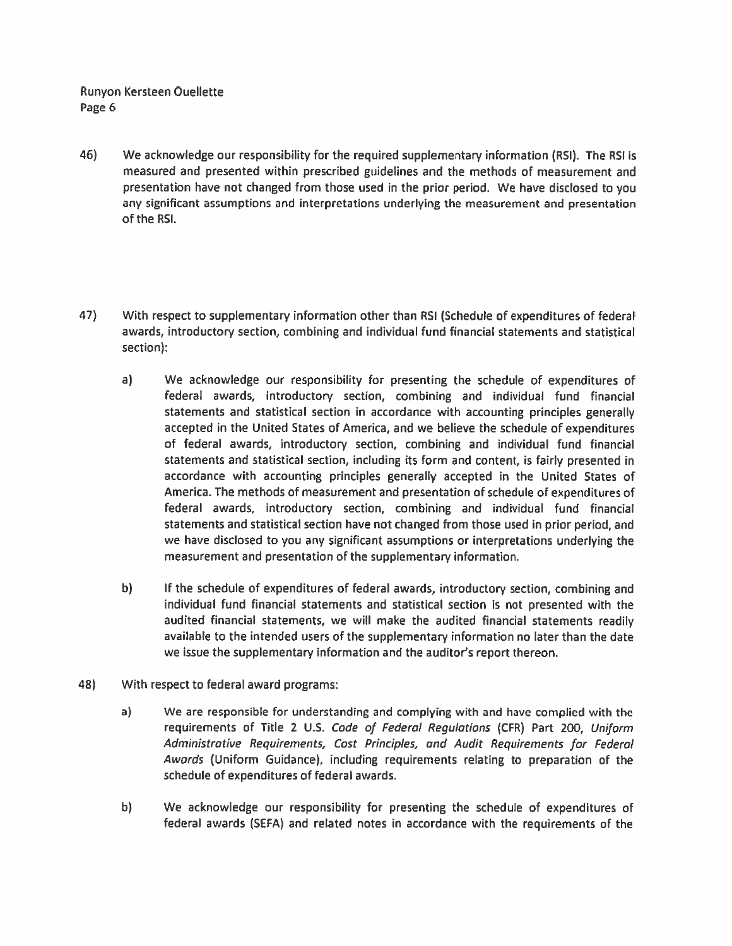- We acknowledge our responsibility for the required supplementary information (RSI). The RSI is 46) measured and presented within prescribed guidelines and the methods of measurement and presentation have not changed from those used in the prior period. We have disclosed to you any significant assumptions and interpretations underlying the measurement and presentation of the RSI.
- 47) With respect to supplementary information other than RSI (Schedule of expenditures of federal awards, introductory section, combining and individual fund financial statements and statistical section):
	- $a)$ We acknowledge our responsibility for presenting the schedule of expenditures of federal awards, introductory section, combining and individual fund financial statements and statistical section in accordance with accounting principles generally accepted in the United States of America, and we believe the schedule of expenditures of federal awards, introductory section, combining and individual fund financial statements and statistical section, including its form and content, is fairly presented in accordance with accounting principles generally accepted in the United States of America. The methods of measurement and presentation of schedule of expenditures of federal awards, introductory section, combining and individual fund financial statements and statistical section have not changed from those used in prior period, and we have disclosed to you any significant assumptions or interpretations underlying the measurement and presentation of the supplementary information.
	- $b)$ If the schedule of expenditures of federal awards, introductory section, combining and individual fund financial statements and statistical section is not presented with the audited financial statements, we will make the audited financial statements readily available to the intended users of the supplementary information no later than the date we issue the supplementary information and the auditor's report thereon.
- 48) With respect to federal award programs:
	- $a)$ We are responsible for understanding and complying with and have complied with the requirements of Title 2 U.S. Code of Federal Regulations (CFR) Part 200, Uniform Administrative Requirements, Cost Principles, and Audit Requirements for Federal Awards (Uniform Guidance), including requirements relating to preparation of the schedule of expenditures of federal awards.
	- b) We acknowledge our responsibility for presenting the schedule of expenditures of federal awards (SEFA) and related notes in accordance with the requirements of the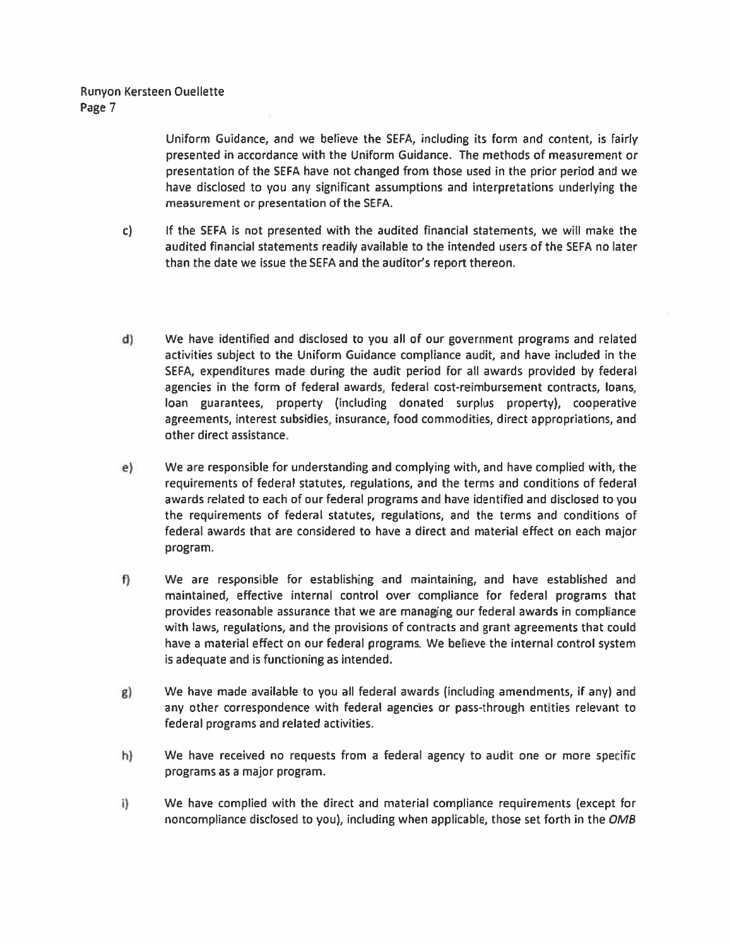Uniform Guidance, and we believe the SEFA, including its form and content, is fairly presented in accordance with the Uniform Guidance. The methods of measurement or presentation of the SEFA have not changed from those used in the prior period and we have disclosed to you any significant assumptions and interpretations underlying the measurement or presentation of the SEFA.

- c) If the SEFA is not presented with the audited financial statements, we will make the audited financial statements readily available to the intended users of the SEFA no later than the date we issue the SEFA and the auditor's report thereon.
- d) We have identified and disclosed to you all of our government programs and related activities subject to the Uniform Guidance compliance audit, and have included in the SEFA, expenditures made during the audit period for all awards provided by federal agencies in the form of federal awards, federal cost-reimbursement contracts, loans, loan guarantees, property (including donated surplus property), cooperative agreements, interest subsidies, insurance, food commodities, direct appropriations, and other direct assistance.
- We are responsible for understanding and complying with, and have complied with, the  $e)$ requirements of federal statutes, regulations, and the terms and conditions of federal awards related to each of our federal programs and have identified and disclosed to you the requirements of federal statutes, regulations, and the terms and conditions of federal awards that are considered to have a direct and material effect on each major program.
- f) We are responsible for establishing and maintaining, and have established and maintained, effective internal control over compliance for federal programs that provides reasonable assurance that we are managing our federal awards in compliance with laws, regulations, and the provisions of contracts and grant agreements that could have a material effect on our federal programs. We believe the internal control system is adequate and is functioning as intended.
- We have made available to you all federal awards (including amendments, if any) and  $g)$ any other correspondence with federal agencies or pass-through entities relevant to federal programs and related activities.
- h) We have received no requests from a federal agency to audit one or more specific programs as a major program.
- $i)$ We have complied with the direct and material compliance requirements (except for noncompliance disclosed to you), including when applicable, those set forth in the OMB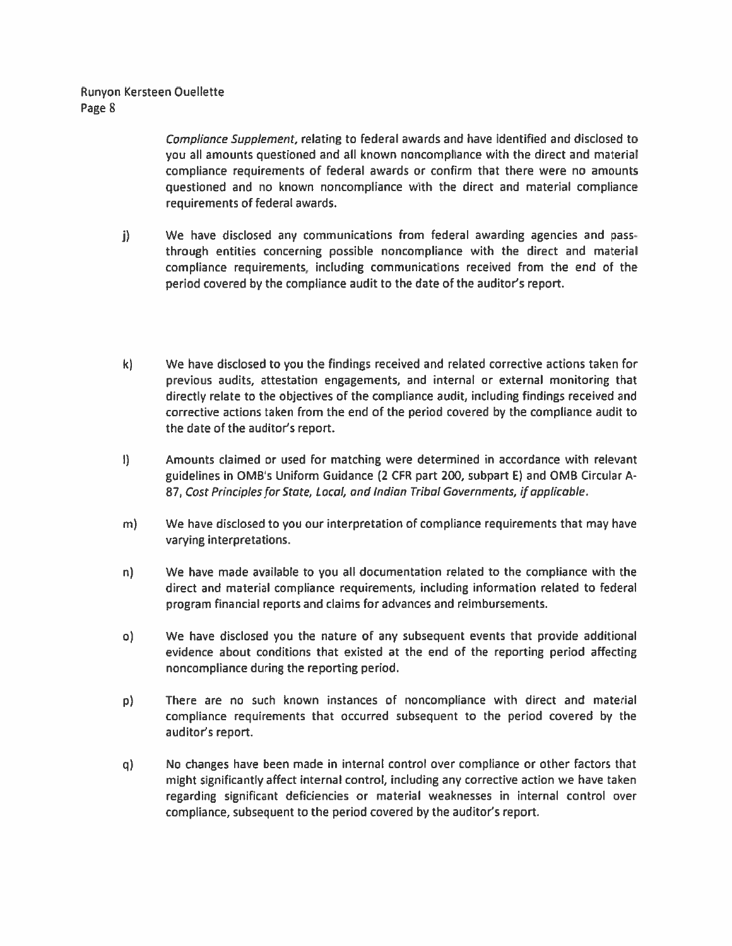Compliance Supplement, relating to federal awards and have identified and disclosed to you all amounts questioned and all known noncompliance with the direct and material compliance requirements of federal awards or confirm that there were no amounts questioned and no known noncompliance with the direct and material compliance requirements of federal awards.

- j) We have disclosed any communications from federal awarding agencies and passthrough entities concerning possible noncompliance with the direct and material compliance requirements, including communications received from the end of the period covered by the compliance audit to the date of the auditor's report.
- k). We have disclosed to you the findings received and related corrective actions taken for previous audits, attestation engagements, and internal or external monitoring that directly relate to the objectives of the compliance audit, including findings received and corrective actions taken from the end of the period covered by the compliance audit to the date of the auditor's report.
- $\mathbf{I}$ Amounts claimed or used for matching were determined in accordance with relevant guidelines in OMB's Uniform Guidance (2 CFR part 200, subpart E) and OMB Circular A-87, Cost Principles for State, Local, and Indian Tribal Governments, if applicable.
- $m)$ We have disclosed to you our interpretation of compliance requirements that may have varying interpretations.
- We have made available to you all documentation related to the compliance with the n) direct and material compliance requirements, including information related to federal program financial reports and claims for advances and reimbursements.
- We have disclosed you the nature of any subsequent events that provide additional o). evidence about conditions that existed at the end of the reporting period affecting noncompliance during the reporting period.
- There are no such known instances of noncompliance with direct and material  $p$ compliance requirements that occurred subsequent to the period covered by the auditor's report.
- No changes have been made in internal control over compliance or other factors that q) might significantly affect internal control, including any corrective action we have taken regarding significant deficiencies or material weaknesses in internal control over compliance, subsequent to the period covered by the auditor's report.